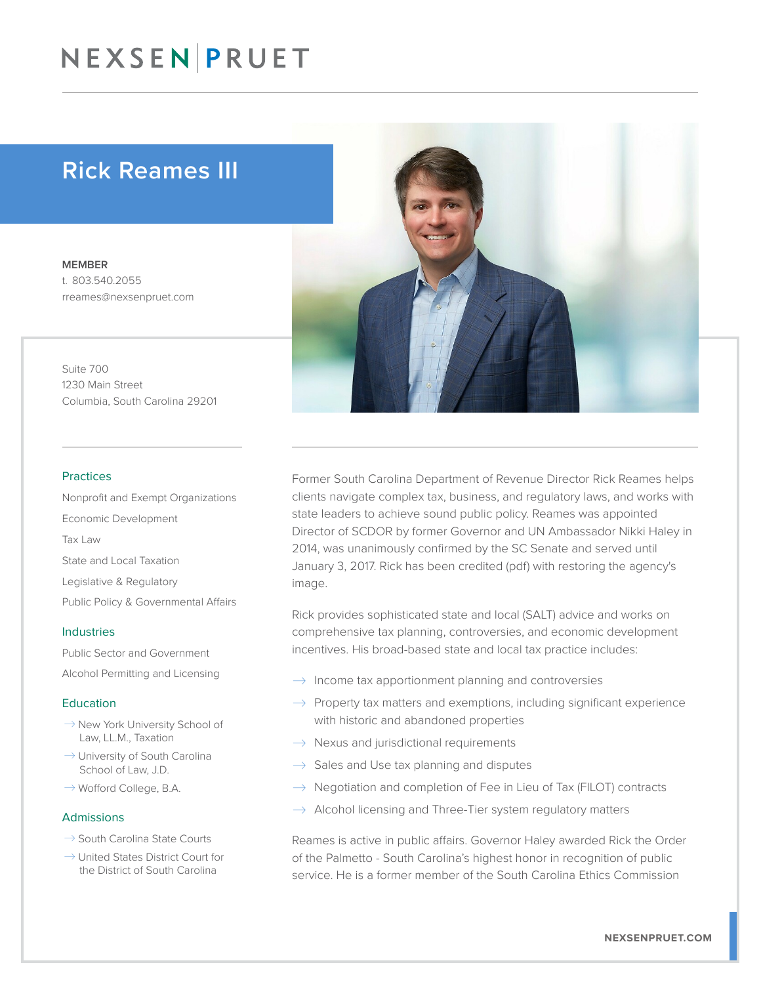# NEXSEN PRUET

# Rick Reames III

MEMBER t. 803.540.2055 rreames@nexsenpruet.com

Suite 700 1230 Main Street Columbia, South Carolina 29201

#### Practices

Nonprofit and Exempt Organizations Economic Development Tax Law State and Local Taxation Legislative & Regulatory Public Policy & Governmental Affairs

#### Industries

Public Sector and Government Alcohol Permitting and Licensing

#### **Education**

- $\rightarrow$  New York University School of Law, LL.M., Taxation
- $\rightarrow$  University of South Carolina School of Law, J.D.
- $\rightarrow$  Wofford College, B.A.

#### Admissions

- $\rightarrow$  South Carolina State Courts
- $\rightarrow$  United States District Court for the District of South Carolina



Rick provides sophisticated state and local (SALT) advice and works on comprehensive tax planning, controversies, and economic development incentives. His broad-based state and local tax practice includes:

- $\rightarrow$  Income tax apportionment planning and controversies
- $\rightarrow$  Property tax matters and exemptions, including significant experience with historic and abandoned properties
- $\rightarrow$  Nexus and jurisdictional requirements
- $\rightarrow$  Sales and Use tax planning and disputes
- $\rightarrow$  Negotiation and completion of Fee in Lieu of Tax (FILOT) contracts
- Alcohol licensing and Three-Tier system regulatory matters

Reames is active in public affairs. Governor Haley awarded Rick the Order of the Palmetto - South Carolina's highest honor in recognition of public service. He is a former member of the South Carolina Ethics Commission

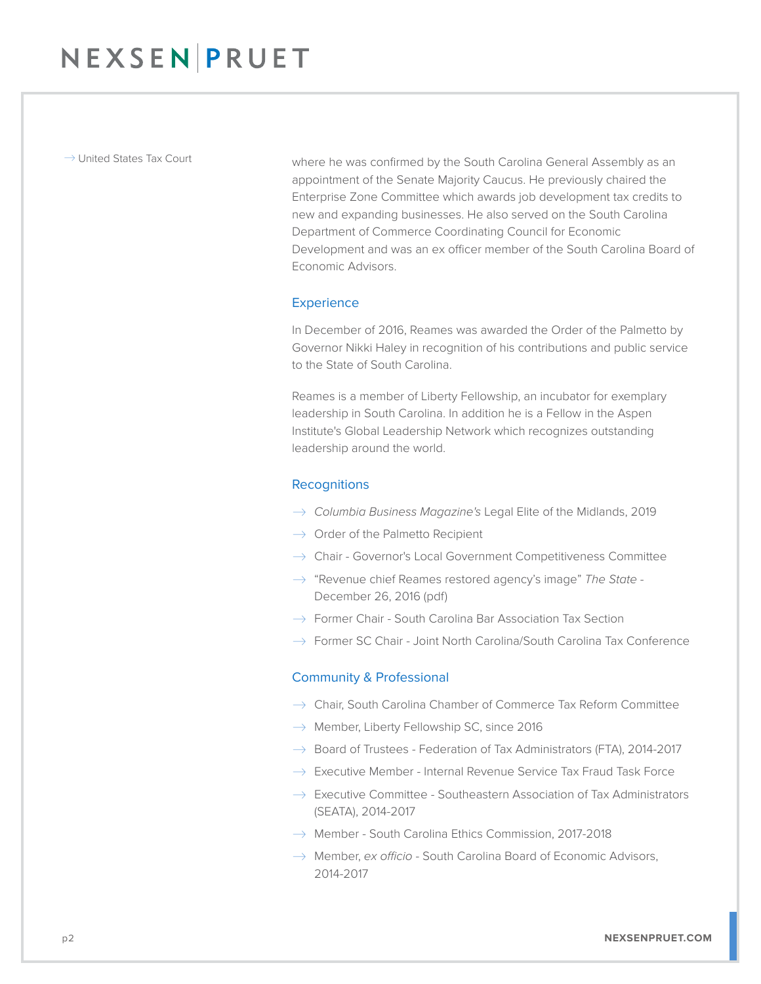$\rightarrow$  United States Tax Court where he was confirmed by the South Carolina General Assembly as an appointment of the Senate Majority Caucus. He previously chaired the Enterprise Zone Committee which awards job development tax credits to new and expanding businesses. He also served on the South Carolina Department of Commerce Coordinating Council for Economic Development and was an ex officer member of the South Carolina Board of Economic Advisors.

#### **Experience**

In December of 2016, Reames was awarded the Order of the Palmetto by Governor Nikki Haley in recognition of his contributions and public service to the State of South Carolina.

Reames is a member of Liberty Fellowship, an incubator for exemplary leadership in South Carolina. In addition he is a Fellow in the Aspen Institute's Global Leadership Network which recognizes outstanding leadership around the world.

### **Recognitions**

- � *Columbia Business Magazine's* Legal Elite of the Midlands, 2019
- $\rightarrow$  Order of the Palmetto Recipient
- $\rightarrow$  Chair Governor's Local Government Competitiveness Committee
- � "Revenue chief Reames restored agency's image" *The State* December 26, 2016 (pdf)
- $\rightarrow$  Former Chair South Carolina Bar Association Tax Section
- $\rightarrow$  Former SC Chair Joint North Carolina/South Carolina Tax Conference

#### Community & Professional

- $\rightarrow$  Chair, South Carolina Chamber of Commerce Tax Reform Committee
- $\rightarrow$  Member, Liberty Fellowship SC, since 2016
- $\rightarrow$  Board of Trustees Federation of Tax Administrators (FTA), 2014-2017
- $\rightarrow$  Executive Member Internal Revenue Service Tax Fraud Task Force
- $\rightarrow$  Executive Committee Southeastern Association of Tax Administrators (SEATA), 2014-2017
- $\rightarrow$  Member South Carolina Ethics Commission, 2017-2018
- $\rightarrow$  Member, *ex officio* South Carolina Board of Economic Advisors, 2014-2017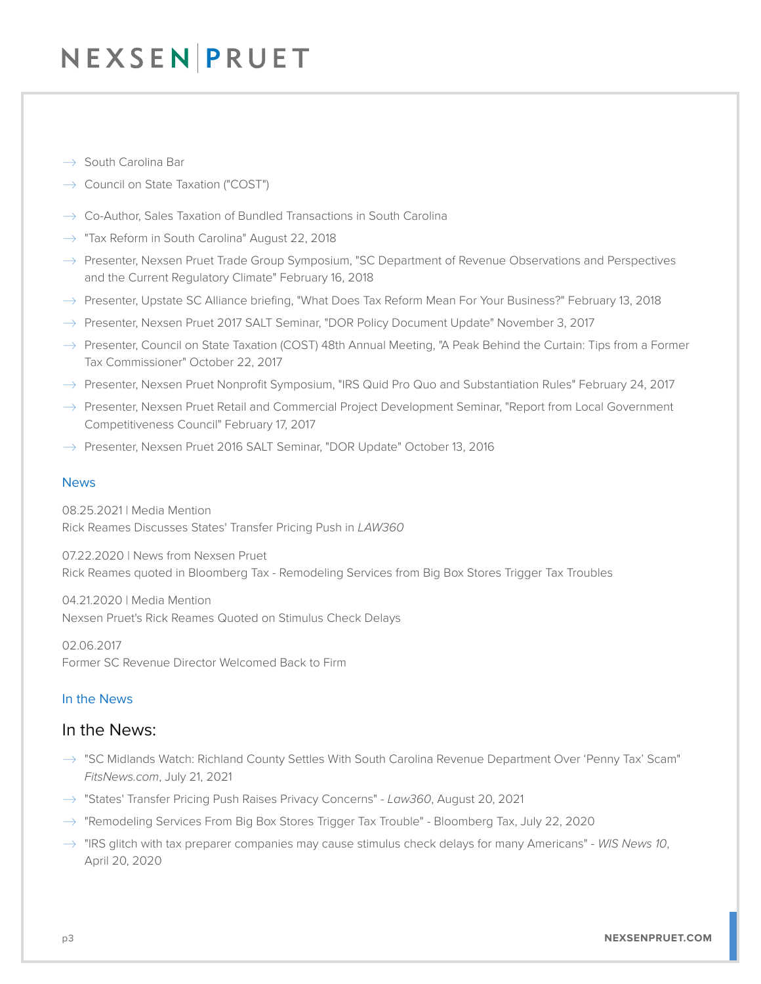# NEXSEN PRUET

- $\rightarrow$  South Carolina Bar
- $\rightarrow$  Council on State Taxation ("COST")
- $\rightarrow$  Co-Author, Sales Taxation of Bundled Transactions in South Carolina
- $\rightarrow$  "Tax Reform in South Carolina" August 22, 2018
- $\rightarrow$  Presenter, Nexsen Pruet Trade Group Symposium, "SC Department of Revenue Observations and Perspectives and the Current Regulatory Climate" February 16, 2018
- $\rightarrow$  Presenter, Upstate SC Alliance briefing, "What Does Tax Reform Mean For Your Business?" February 13, 2018
- $\rightarrow$  Presenter, Nexsen Pruet 2017 SALT Seminar, "DOR Policy Document Update" November 3, 2017
- $\rightarrow$  Presenter, Council on State Taxation (COST) 48th Annual Meeting, "A Peak Behind the Curtain: Tips from a Former Tax Commissioner" October 22, 2017
- $\rightarrow$  Presenter, Nexsen Pruet Nonprofit Symposium, "IRS Quid Pro Quo and Substantiation Rules" February 24, 2017
- $\rightarrow$  Presenter, Nexsen Pruet Retail and Commercial Project Development Seminar, "Report from Local Government Competitiveness Council" February 17, 2017
- $\rightarrow$  Presenter, Nexsen Pruet 2016 SALT Seminar, "DOR Update" October 13, 2016

### News

08.25.2021 | Media Mention Rick Reames Discusses States' Transfer Pricing Push in *LAW360*

07.22.2020 | News from Nexsen Pruet Rick Reames quoted in Bloomberg Tax - Remodeling Services from Big Box Stores Trigger Tax Troubles

04.21.2020 | Media Mention Nexsen Pruet's Rick Reames Quoted on Stimulus Check Delays

02.06.2017 Former SC Revenue Director Welcomed Back to Firm

### In the News

## In the News:

- $\rightarrow$  "SC Midlands Watch: Richland County Settles With South Carolina Revenue Department Over 'Penny Tax' Scam" *FitsNews.com*, July 21, 2021
- � "States' Transfer Pricing Push Raises Privacy Concerns" *Law360*, August 20, 2021
- $\rightarrow$  "Remodeling Services From Big Box Stores Trigger Tax Trouble" Bloomberg Tax, July 22, 2020
- � "IRS glitch with tax preparer companies may cause stimulus check delays for many Americans" - *WIS News 10*, April 20, 2020